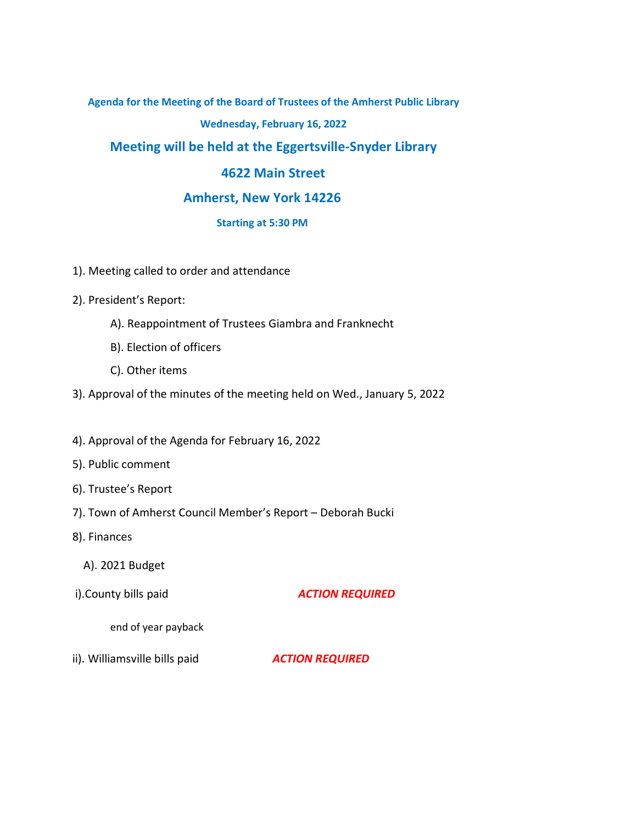**Agenda for the Meeting of the Board of Trustees of the Amherst Public Library**

#### **Wednesday, February 16, 2022**

# **Meeting will be held at the Eggertsville-Snyder Library**

# **4622 Main Street**

## **Amherst, New York 14226**

## **Starting at 5:30 PM**

- 1). Meeting called to order and attendance
- 2). President's Report:
	- A). Reappointment of Trustees Giambra and Franknecht
	- B). Election of officers
	- C). Other items
- 3). Approval of the minutes of the meeting held on Wed., January 5, 2022
- 4). Approval of the Agenda for February 16, 2022
- 5). Public comment
- 6). Trustee's Report
- 7). Town of Amherst Council Member's Report Deborah Bucki
- 8). Finances
	- A). 2021 Budget
- i).County bills paid *ACTION REQUIRED*

end of year payback

ii). Williamsville bills paid *ACTION REQUIRED*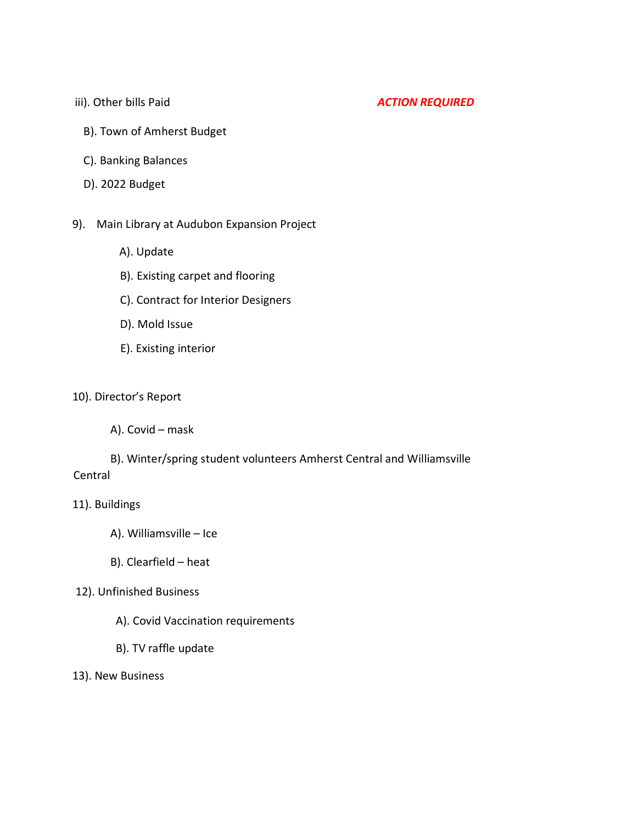### iii). Other bills Paid **ACTION REQUIRED**

- B). Town of Amherst Budget
- C). Banking Balances
- D). 2022 Budget

#### 9). Main Library at Audubon Expansion Project

- A). Update
- B). Existing carpet and flooring
- C). Contract for Interior Designers
- D). Mold Issue
- E). Existing interior

## 10). Director's Report

A). Covid – mask

# B). Winter/spring student volunteers Amherst Central and Williamsville Central

## 11). Buildings

- A). Williamsville Ice
- B). Clearfield heat

### 12). Unfinished Business

- A). Covid Vaccination requirements
- B). TV raffle update
- 13). New Business